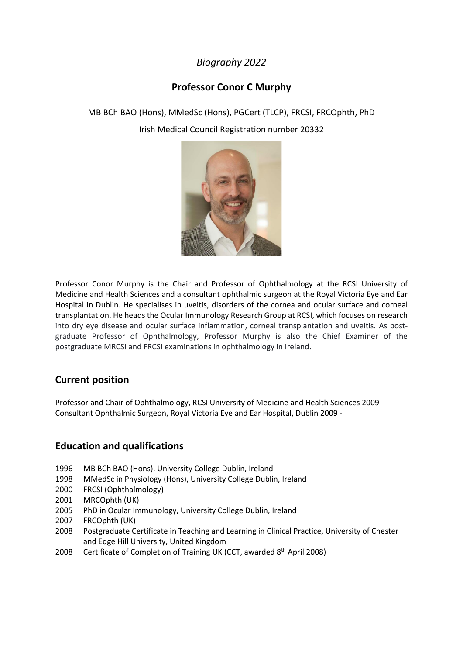# *Biography 2022*

# **Professor Conor C Murphy**

MB BCh BAO (Hons), MMedSc (Hons), PGCert (TLCP), FRCSI, FRCOphth, PhD Irish Medical Council Registration number 20332



Professor Conor Murphy is the Chair and Professor of Ophthalmology at the RCSI University of Medicine and Health Sciences and a consultant ophthalmic surgeon at the Royal Victoria Eye and Ear Hospital in Dublin. He specialises in uveitis, disorders of the cornea and ocular surface and corneal transplantation. He heads the Ocular Immunology Research Group at RCSI, which focuses on research into dry eye disease and ocular surface inflammation, corneal transplantation and uveitis. As postgraduate Professor of Ophthalmology, Professor Murphy is also the Chief Examiner of the postgraduate MRCSI and FRCSI examinations in ophthalmology in Ireland.

# **Current position**

Professor and Chair of Ophthalmology, RCSI University of Medicine and Health Sciences 2009 - Consultant Ophthalmic Surgeon, Royal Victoria Eye and Ear Hospital, Dublin 2009 -

# **Education and qualifications**

- 1996 MB BCh BAO (Hons), University College Dublin, Ireland
- 1998 MMedSc in Physiology (Hons), University College Dublin, Ireland
- 2000 FRCSI (Ophthalmology)
- 2001 MRCOphth (UK)
- 2005 PhD in Ocular Immunology, University College Dublin, Ireland
- 2007 FRCOphth (UK)
- 2008 Postgraduate Certificate in Teaching and Learning in Clinical Practice, University of Chester and Edge Hill University, United Kingdom
- 2008 Certificate of Completion of Training UK (CCT, awarded 8<sup>th</sup> April 2008)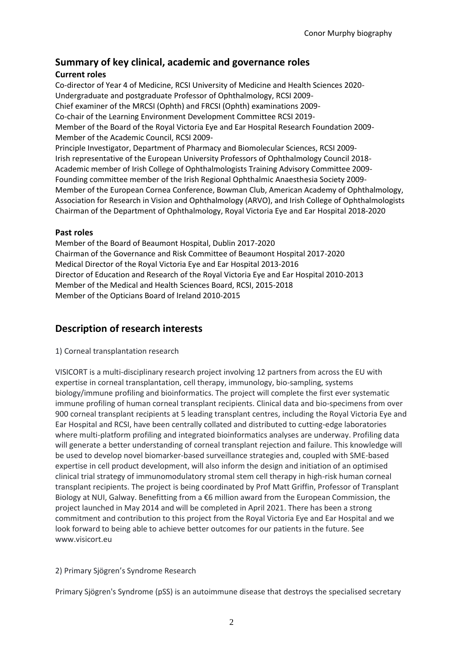# **Summary of key clinical, academic and governance roles**

# **Current roles**

Co-director of Year 4 of Medicine, RCSI University of Medicine and Health Sciences 2020- Undergraduate and postgraduate Professor of Ophthalmology, RCSI 2009- Chief examiner of the MRCSI (Ophth) and FRCSI (Ophth) examinations 2009- Co-chair of the Learning Environment Development Committee RCSI 2019- Member of the Board of the Royal Victoria Eye and Ear Hospital Research Foundation 2009- Member of the Academic Council, RCSI 2009- Principle Investigator, Department of Pharmacy and Biomolecular Sciences, RCSI 2009- Irish representative of the European University Professors of Ophthalmology Council 2018- Academic member of Irish College of Ophthalmologists Training Advisory Committee 2009- Founding committee member of the Irish Regional Ophthalmic Anaesthesia Society 2009- Member of the European Cornea Conference, Bowman Club, American Academy of Ophthalmology, Association for Research in Vision and Ophthalmology (ARVO), and Irish College of Ophthalmologists Chairman of the Department of Ophthalmology, Royal Victoria Eye and Ear Hospital 2018-2020

### **Past roles**

Member of the Board of Beaumont Hospital, Dublin 2017-2020 Chairman of the Governance and Risk Committee of Beaumont Hospital 2017-2020 Medical Director of the Royal Victoria Eye and Ear Hospital 2013-2016 Director of Education and Research of the Royal Victoria Eye and Ear Hospital 2010-2013 Member of the Medical and Health Sciences Board, RCSI, 2015-2018 Member of the Opticians Board of Ireland 2010-2015

# **Description of research interests**

# 1) Corneal transplantation research

VISICORT is a multi-disciplinary research project involving 12 partners from across the EU with expertise in corneal transplantation, cell therapy, immunology, bio-sampling, systems biology/immune profiling and bioinformatics. The project will complete the first ever systematic immune profiling of human corneal transplant recipients. Clinical data and bio-specimens from over 900 corneal transplant recipients at 5 leading transplant centres, including the Royal Victoria Eye and Ear Hospital and RCSI, have been centrally collated and distributed to cutting-edge laboratories where multi-platform profiling and integrated bioinformatics analyses are underway. Profiling data will generate a better understanding of corneal transplant rejection and failure. This knowledge will be used to develop novel biomarker-based surveillance strategies and, coupled with SME-based expertise in cell product development, will also inform the design and initiation of an optimised clinical trial strategy of immunomodulatory stromal stem cell therapy in high-risk human corneal transplant recipients. The project is being coordinated by Prof Matt Griffin, Professor of Transplant Biology at NUI, Galway. Benefitting from a €6 million award from the European Commission, the project launched in May 2014 and will be completed in April 2021. There has been a strong commitment and contribution to this project from the Royal Victoria Eye and Ear Hospital and we look forward to being able to achieve better outcomes for our patients in the future. See www.visicort.eu

# 2) Primary Sjögren's Syndrome Research

Primary Sjögren's Syndrome (pSS) is an autoimmune disease that destroys the specialised secretary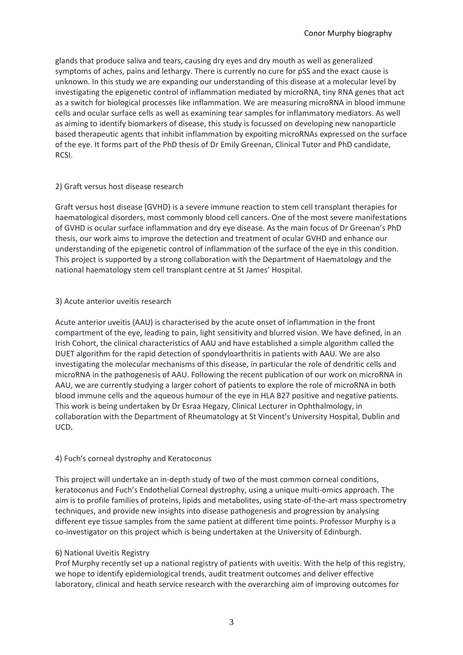glands that produce saliva and tears, causing dry eyes and dry mouth as well as generalized symptoms of aches, pains and lethargy. There is currently no cure for pSS and the exact cause is unknown. In this study we are expanding our understanding of this disease at a molecular level by investigating the epigenetic control of inflammation mediated by microRNA, tiny RNA genes that act as a switch for biological processes like inflammation. We are measuring microRNA in blood immune cells and ocular surface cells as well as examining tear samples for inflammatory mediators. As well as aiming to identify biomarkers of disease, this study is focussed on developing new nanoparticle based therapeutic agents that inhibit inflammation by expoiting microRNAs expressed on the surface of the eye. It forms part of the PhD thesis of Dr Emily Greenan, Clinical Tutor and PhD candidate, RCSI.

#### 2) Graft versus host disease research

Graft versus host disease (GVHD) is a severe immune reaction to stem cell transplant therapies for haematological disorders, most commonly blood cell cancers. One of the most severe manifestations of GVHD is ocular surface inflammation and dry eye disease. As the main focus of Dr Greenan's PhD thesis, our work aims to improve the detection and treatment of ocular GVHD and enhance our understanding of the epigenetic control of inflammation of the surface of the eye in this condition. This project is supported by a strong collaboration with the Department of Haematology and the national haematology stem cell transplant centre at St James' Hospital.

#### 3) Acute anterior uveitis research

Acute anterior uveitis (AAU) is characterised by the acute onset of inflammation in the front compartment of the eye, leading to pain, light sensitivity and blurred vision. We have defined, in an Irish Cohort, the clinical characteristics of AAU and have established a simple algorithm called the DUET algorithm for the rapid detection of spondyloarthritis in patients with AAU. We are also investigating the molecular mechanisms of this disease, in particular the role of dendritic cells and microRNA in the pathogenesis of AAU. Following the recent publication of our work on microRNA in AAU, we are currently studying a larger cohort of patients to explore the role of microRNA in both blood immune cells and the aqueous humour of the eye in HLA B27 positive and negative patients. This work is being undertaken by Dr Esraa Hegazy, Clinical Lecturer in Ophthalmology, in collaboration with the Department of Rheumatology at St Vincent's University Hospital, Dublin and UCD.

#### 4) Fuch's corneal dystrophy and Keratoconus

This project will undertake an in-depth study of two of the most common corneal conditions, keratoconus and Fuch's Endothelial Corneal dystrophy, using a unique multi-omics approach. The aim is to profile families of proteins, lipids and metabolites, using state-of-the-art mass spectrometry techniques, and provide new insights into disease pathogenesis and progression by analysing different eye tissue samples from the same patient at different time points. Professor Murphy is a co-investigator on this project which is being undertaken at the University of Edinburgh.

#### 6) National Uveitis Registry

Prof Murphy recently set up a national registry of patients with uveitis. With the help of this registry, we hope to identify epidemiological trends, audit treatment outcomes and deliver effective laboratory, clinical and heath service research with the overarching aim of improving outcomes for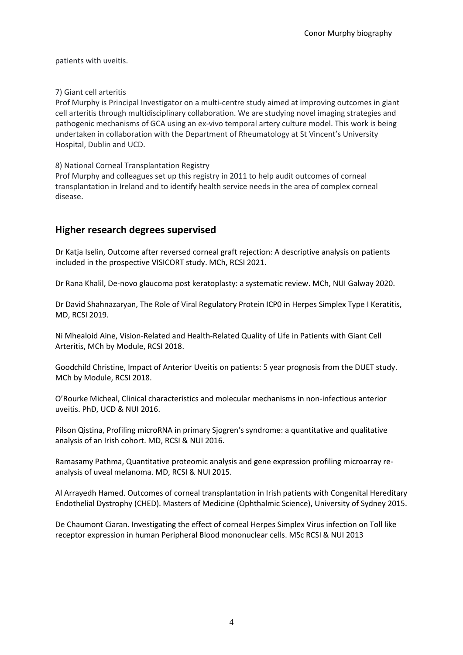patients with uveitis.

#### 7) Giant cell arteritis

Prof Murphy is Principal Investigator on a multi-centre study aimed at improving outcomes in giant cell arteritis through multidisciplinary collaboration. We are studying novel imaging strategies and pathogenic mechanisms of GCA using an ex-vivo temporal artery culture model. This work is being undertaken in collaboration with the Department of Rheumatology at St Vincent's University Hospital, Dublin and UCD.

8) National Corneal Transplantation Registry

Prof Murphy and colleagues set up this registry in 2011 to help audit outcomes of corneal transplantation in Ireland and to identify health service needs in the area of complex corneal disease.

### **Higher research degrees supervised**

Dr Katja Iselin, Outcome after reversed corneal graft rejection: A descriptive analysis on patients included in the prospective VISICORT study. MCh, RCSI 2021.

Dr Rana Khalil, De-novo glaucoma post keratoplasty: a systematic review. MCh, NUI Galway 2020.

Dr David Shahnazaryan, The Role of Viral Regulatory Protein ICP0 in Herpes Simplex Type I Keratitis, MD, RCSI 2019.

Ni Mhealoid Aine, Vision-Related and Health-Related Quality of Life in Patients with Giant Cell Arteritis, MCh by Module, RCSI 2018.

Goodchild Christine, Impact of Anterior Uveitis on patients: 5 year prognosis from the DUET study. MCh by Module, RCSI 2018.

O'Rourke Micheal, Clinical characteristics and molecular mechanisms in non-infectious anterior uveitis. PhD, UCD & NUI 2016.

Pilson Qistina, Profiling microRNA in primary Sjogren's syndrome: a quantitative and qualitative analysis of an Irish cohort. MD, RCSI & NUI 2016.

Ramasamy Pathma, Quantitative proteomic analysis and gene expression profiling microarray reanalysis of uveal melanoma. MD, RCSI & NUI 2015.

Al Arrayedh Hamed. Outcomes of corneal transplantation in Irish patients with Congenital Hereditary Endothelial Dystrophy (CHED). Masters of Medicine (Ophthalmic Science), University of Sydney 2015.

De Chaumont Ciaran. Investigating the effect of corneal Herpes Simplex Virus infection on Toll like receptor expression in human Peripheral Blood mononuclear cells. MSc RCSI & NUI 2013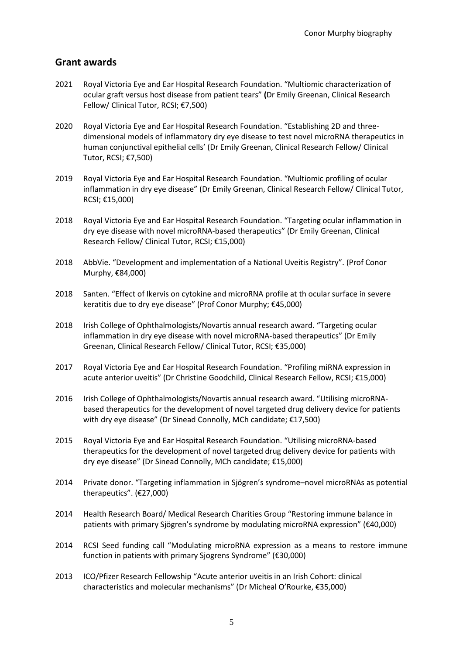# **Grant awards**

- 2021 Royal Victoria Eye and Ear Hospital Research Foundation. "Multiomic characterization of ocular graft versus host disease from patient tears" **(**Dr Emily Greenan, Clinical Research Fellow/ Clinical Tutor, RCSI; €7,500)
- 2020 Royal Victoria Eye and Ear Hospital Research Foundation. "Establishing 2D and threedimensional models of inflammatory dry eye disease to test novel microRNA therapeutics in human conjunctival epithelial cells' (Dr Emily Greenan, Clinical Research Fellow/ Clinical Tutor, RCSI; €7,500)
- 2019 Royal Victoria Eye and Ear Hospital Research Foundation. "Multiomic profiling of ocular inflammation in dry eye disease" (Dr Emily Greenan, Clinical Research Fellow/ Clinical Tutor, RCSI; €15,000)
- 2018 Royal Victoria Eye and Ear Hospital Research Foundation. "Targeting ocular inflammation in dry eye disease with novel microRNA-based therapeutics" (Dr Emily Greenan, Clinical Research Fellow/ Clinical Tutor, RCSI; €15,000)
- 2018 AbbVie. "Development and implementation of a National Uveitis Registry". (Prof Conor Murphy, €84,000)
- 2018 Santen. "Effect of Ikervis on cytokine and microRNA profile at th ocular surface in severe keratitis due to dry eye disease" (Prof Conor Murphy; €45,000)
- 2018 Irish College of Ophthalmologists/Novartis annual research award. "Targeting ocular inflammation in dry eye disease with novel microRNA-based therapeutics" (Dr Emily Greenan, Clinical Research Fellow/ Clinical Tutor, RCSI; €35,000)
- 2017 Royal Victoria Eye and Ear Hospital Research Foundation. "Profiling miRNA expression in acute anterior uveitis" (Dr Christine Goodchild, Clinical Research Fellow, RCSI; €15,000)
- 2016 Irish College of Ophthalmologists/Novartis annual research award. "Utilising microRNAbased therapeutics for the development of novel targeted drug delivery device for patients with dry eye disease" (Dr Sinead Connolly, MCh candidate; €17,500)
- 2015 Royal Victoria Eye and Ear Hospital Research Foundation. "Utilising microRNA-based therapeutics for the development of novel targeted drug delivery device for patients with dry eye disease" (Dr Sinead Connolly, MCh candidate; €15,000)
- 2014 Private donor. "Targeting inflammation in Sjögren's syndrome–novel microRNAs as potential therapeutics". (€27,000)
- 2014 Health Research Board/ Medical Research Charities Group "Restoring immune balance in patients with primary Sjögren's syndrome by modulating microRNA expression" (€40,000)
- 2014 RCSI Seed funding call "Modulating microRNA expression as a means to restore immune function in patients with primary Sjogrens Syndrome" (€30,000)
- 2013 ICO/Pfizer Research Fellowship "Acute anterior uveitis in an Irish Cohort: clinical characteristics and molecular mechanisms" (Dr Micheal O'Rourke, €35,000)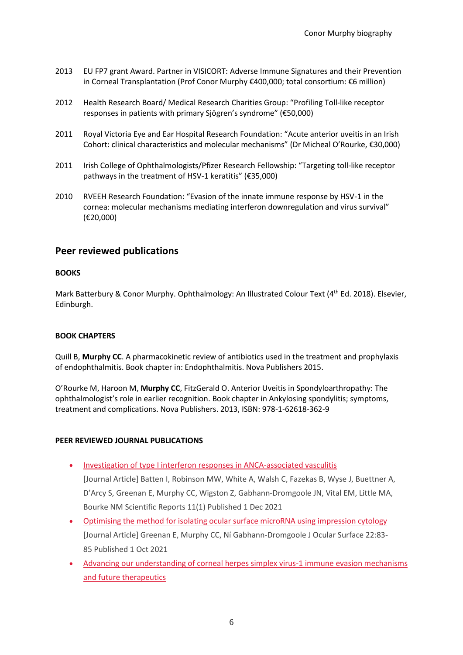- 2013 EU FP7 grant Award. Partner in VISICORT: Adverse Immune Signatures and their Prevention in Corneal Transplantation (Prof Conor Murphy €400,000; total consortium: €6 million)
- 2012 Health Research Board/ Medical Research Charities Group: "Profiling Toll-like receptor responses in patients with primary Sjögren's syndrome" (€50,000)
- 2011 Royal Victoria Eye and Ear Hospital Research Foundation: "Acute anterior uveitis in an Irish Cohort: clinical characteristics and molecular mechanisms" (Dr Micheal O'Rourke, €30,000)
- 2011 Irish College of Ophthalmologists/Pfizer Research Fellowship: "Targeting toll-like receptor pathways in the treatment of HSV-1 keratitis" (€35,000)
- 2010 RVEEH Research Foundation: "Evasion of the innate immune response by HSV-1 in the cornea: molecular mechanisms mediating interferon downregulation and virus survival" (€20,000)

### **Peer reviewed publications**

#### **BOOKS**

Mark Batterbury & Conor Murphy. Ophthalmology: An Illustrated Colour Text (4<sup>th</sup> Ed. 2018). Elsevier, Edinburgh.

#### **BOOK CHAPTERS**

Quill B, **Murphy CC**. A pharmacokinetic review of antibiotics used in the treatment and prophylaxis of endophthalmitis. Book chapter in: Endophthalmitis. Nova Publishers 2015.

O'Rourke M, Haroon M, **Murphy CC**, FitzGerald O. Anterior Uveitis in Spondyloarthropathy: The ophthalmologist's role in earlier recognition. Book chapter in Ankylosing spondylitis; symptoms, treatment and complications. Nova Publishers. 2013, ISBN: 978-1-62618-362-9

#### **PEER REVIEWED JOURNAL PUBLICATIONS**

• [Investigation of type I interferon responses in ANCA-associated vasculitis](http://doi.org/10.1038/s41598-021-87760-4)

[Journal Article] Batten I, Robinson MW, White A, Walsh C, Fazekas B, Wyse J, Buettner A, D'Arcy S, Greenan E, Murphy CC, Wigston Z, Gabhann-Dromgoole JN, Vital EM, Little MA, Bourke NM Scientific Reports 11(1) Published 1 Dec 2021

- [Optimising the method for isolating ocular surface microRNA using impression cytology](http://doi.org/10.1016/j.jtos.2021.07.010) [Journal Article] Greenan E, Murphy CC, Ní Gabhann-Dromgoole J Ocular Surface 22:83- 85 Published 1 Oct 2021
- [Advancing our understanding of corneal herpes simplex virus-1 immune evasion mechanisms](http://doi.org/10.3390/v13091856)  [and future therapeutics](http://doi.org/10.3390/v13091856)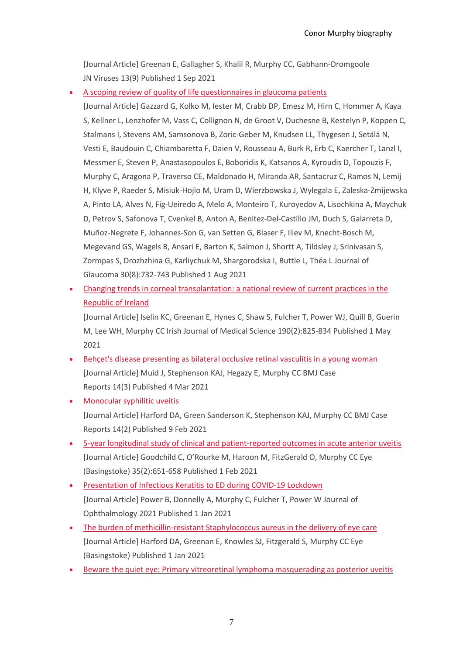[Journal Article] Greenan E, Gallagher S, Khalil R, Murphy CC, Gabhann-Dromgoole JN Viruses 13(9) Published 1 Sep 2021

• [A scoping review of quality of life questionnaires in glaucoma patients](http://doi.org/10.1097/IJG.0000000000001889)

[Journal Article] Gazzard G, Kolko M, Iester M, Crabb DP, Emesz M, Hirn C, Hommer A, Kaya S, Kellner L, Lenzhofer M, Vass C, Collignon N, de Groot V, Duchesne B, Kestelyn P, Koppen C, Stalmans I, Stevens AM, Samsonova B, Zoric-Geber M, Knudsen LL, Thygesen J, Setälä N, Vesti E, Baudouin C, Chiambaretta F, Daien V, Rousseau A, Burk R, Erb C, Kaercher T, Lanzl I, Messmer E, Steven P, Anastasopoulos E, Boboridis K, Katsanos A, Kyroudis D, Topouzis F, Murphy C, Aragona P, Traverso CE, Maldonado H, Miranda AR, Santacruz C, Ramos N, Lemij H, Klyve P, Raeder S, Misiuk-Hojlo M, Uram D, Wierzbowska J, Wylegala E, Zaleska-Zmijewska A, Pinto LA, Alves N, Fig-Ueiredo A, Melo A, Monteiro T, Kuroyedov A, Lisochkina A, Maychuk D, Petrov S, Safonova T, Cvenkel B, Anton A, Benitez-Del-Castillo JM, Duch S, Galarreta D, Muñoz-Negrete F, Johannes-Son G, van Setten G, Blaser F, Iliev M, Knecht-Bosch M, Megevand GS, Wagels B, Ansari E, Barton K, Salmon J, Shortt A, Tildsley J, Srinivasan S, Zormpas S, Drozhzhina G, Karliychuk M, Shargorodska I, Buttle L, Théa L Journal of Glaucoma 30(8):732-743 Published 1 Aug 2021

• [Changing trends in corneal transplantation: a national review of current practices in the](http://doi.org/10.1007/s11845-020-02340-1)  [Republic of Ireland](http://doi.org/10.1007/s11845-020-02340-1)

[Journal Article] Iselin KC, Greenan E, Hynes C, Shaw S, Fulcher T, Power WJ, Quill B, Guerin M, Lee WH, Murphy CC Irish Journal of Medical Science 190(2):825-834 Published 1 May 2021

- [Behçet's disease presenting as bilateral occlusive retinal vasculitis in a young woman](http://doi.org/10.1136/bcr-2021-241794) [Journal Article] Muid J, Stephenson KAJ, Hegazy E, Murphy CC BMJ Case Reports 14(3) Published 4 Mar 2021
- [Monocular syphilitic uveitis](http://doi.org/10.1136/bcr-2020-241403) [Journal Article] Harford DA, Green Sanderson K, Stephenson KAJ, Murphy CC BMJ Case Reports 14(2) Published 9 Feb 2021
- [5-year longitudinal study of clinical and patient-reported outcomes in acute anterior uveitis](http://doi.org/10.1038/s41433-020-0937-6) [Journal Article] Goodchild C, O'Rourke M, Haroon M, FitzGerald O, Murphy CC Eye (Basingstoke) 35(2):651-658 Published 1 Feb 2021
- [Presentation of Infectious Keratitis to ED during COVID-19 Lockdown](http://doi.org/10.1155/2021/5514055) [Journal Article] Power B, Donnelly A, Murphy C, Fulcher T, Power W Journal of Ophthalmology 2021 Published 1 Jan 2021
- [The burden of methicillin-resistant Staphylococcus aureus in the delivery of eye care](http://doi.org/10.1038/s41433-021-01643-6) [Journal Article] Harford DA, Greenan E, Knowles SJ, Fitzgerald S, Murphy CC Eye (Basingstoke) Published 1 Jan 2021
- [Beware the quiet eye: Primary vitreoretinal lymphoma masquerading as posterior uveitis](http://doi.org/10.1136/bcr-2020-240802)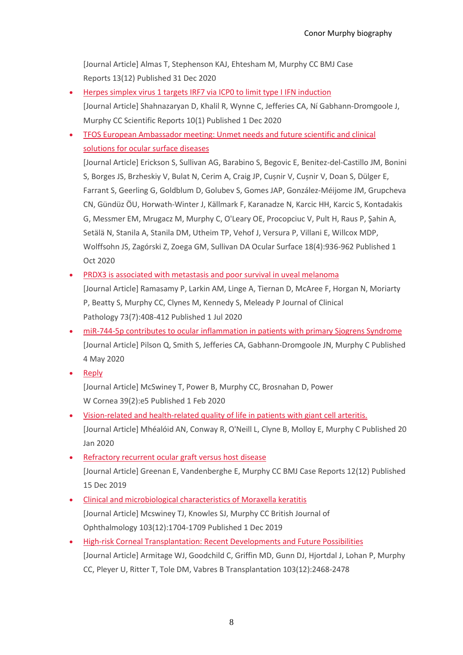[Journal Article] Almas T, Stephenson KAJ, Ehtesham M, Murphy CC BMJ Case Reports 13(12) Published 31 Dec 2020

- [Herpes simplex virus 1 targets IRF7 via ICP0 to limit type I IFN induction](http://doi.org/10.1038/s41598-020-77725-4) [Journal Article] Shahnazaryan D, Khalil R, Wynne C, Jefferies CA, Ní Gabhann-Dromgoole J, Murphy CC Scientific Reports 10(1) Published 1 Dec 2020
- [TFOS European Ambassador meeting: Unmet needs and future scientific and clinical](http://doi.org/10.1016/j.jtos.2020.05.006)  [solutions for ocular surface diseases](http://doi.org/10.1016/j.jtos.2020.05.006)

[Journal Article] Erickson S, Sullivan AG, Barabino S, Begovic E, Benitez-del-Castillo JM, Bonini S, Borges JS, Brzheskiy V, Bulat N, Cerim A, Craig JP, Cușnir V, Cușnir V, Doan S, Dülger E, Farrant S, Geerling G, Goldblum D, Golubev S, Gomes JAP, González-Méijome JM, Grupcheva CN, Gündüz ÖU, Horwath-Winter J, Källmark F, Karanadze N, Karcic HH, Karcic S, Kontadakis G, Messmer EM, Mrugacz M, Murphy C, O'Leary OE, Procopciuc V, Pult H, Raus P, Şahin A, Setälä N, Stanila A, Stanila DM, Utheim TP, Vehof J, Versura P, Villani E, Willcox MDP, Wolffsohn JS, Zagórski Z, Zoega GM, Sullivan DA Ocular Surface 18(4):936-962 Published 1 Oct 2020

• [PRDX3 is associated with metastasis and poor survival in uveal melanoma](http://doi.org/10.1136/jclinpath-2019-206173)

[Journal Article] Ramasamy P, Larkin AM, Linge A, Tiernan D, McAree F, Horgan N, Moriarty P, Beatty S, Murphy CC, Clynes M, Kennedy S, Meleady P Journal of Clinical Pathology 73(7):408-412 Published 1 Jul 2020

- [miR-744-5p contributes to ocular inflammation in patients with primary Sjogrens Syndrome](http://doi.org/10.1038/s41598-020-64422-5) [Journal Article] Pilson Q, Smith S, Jefferies CA, Gabhann-Dromgoole JN, Murphy C Published 4 May 2020
- [Reply](http://doi.org/10.1097/ICO.0000000000002188)

[Journal Article] McSwiney T, Power B, Murphy CC, Brosnahan D, Power W Cornea 39(2):e5 Published 1 Feb 2020

- [Vision-related and health-related quality of life in patients with giant cell arteritis.](http://doi.org/10.1177/1120672120901693) [Journal Article] Mhéalóid AN, Conway R, O'Neill L, Clyne B, Molloy E, Murphy C Published 20 Jan 2020
- [Refractory recurrent ocular graft versus host disease](http://doi.org/10.1136/bcr-2019-232579) [Journal Article] Greenan E, Vandenberghe E, Murphy CC BMJ Case Reports 12(12) Published 15 Dec 2019
- [Clinical and microbiological characteristics of Moraxella keratitis](http://doi.org/10.1136/bjophthalmol-2018-313557) [Journal Article] Mcswiney TJ, Knowles SJ, Murphy CC British Journal of Ophthalmology 103(12):1704-1709 Published 1 Dec 2019
- [High-risk Corneal Transplantation: Recent Developments and Future Possibilities](http://doi.org/10.1097/TP.0000000000002938) [Journal Article] Armitage WJ, Goodchild C, Griffin MD, Gunn DJ, Hjortdal J, Lohan P, Murphy CC, Pleyer U, Ritter T, Tole DM, Vabres B Transplantation 103(12):2468-2478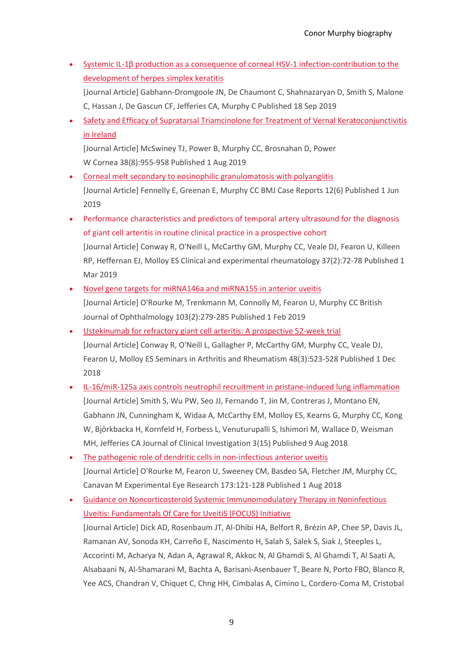- Systemic IL-[1β production as a consequence of corneal HSV](http://doi.org/10.18240/ijo.2019.09.19)-1 infection-contribution to the [development of herpes simplex keratitis](http://doi.org/10.18240/ijo.2019.09.19) [Journal Article] Gabhann-Dromgoole JN, De Chaumont C, Shahnazaryan D, Smith S, Malone C, Hassan J, De Gascun CF, Jefferies CA, Murphy C Published 18 Sep 2019
- Safety and Efficacy of [Supratarsal Triamcinolone for Treatment of Vernal Keratoconjunctivitis](http://doi.org/10.1097/ICO.0000000000001963)  [in Ireland](http://doi.org/10.1097/ICO.0000000000001963)

[Journal Article] McSwiney TJ, Power B, Murphy CC, Brosnahan D, Power W Cornea 38(8):955-958 Published 1 Aug 2019

- [Corneal melt secondary to eosinophilic granulomatosis with polyangiitis](http://doi.org/10.1136/bcr-2019-229859) [Journal Article] Fennelly E, Greenan E, Murphy CC BMJ Case Reports 12(6) Published 1 Jun 2019
- Performance characteristics and predictors of temporal artery ultrasound for the diagnosis of giant cell arteritis in routine clinical practice in a prospective cohort [Journal Article] Conway R, O'Neill L, McCarthy GM, Murphy CC, Veale DJ, Fearon U, Killeen RP, Heffernan EJ, Molloy ES Clinical and experimental rheumatology 37(2):72-78 Published 1 Mar 2019
- [Novel gene targets for miRNA146a and miRNA155 in anterior uveitis](http://doi.org/10.1136/bjophthalmol-2018-312885) [Journal Article] O'Rourke M, Trenkmann M, Connolly M, Fearon U, Murphy CC British Journal of Ophthalmology 103(2):279-285 Published 1 Feb 2019
- [Ustekinumab for refractory giant cell arteritis: A prospective 52-week trial](http://doi.org/10.1016/j.semarthrit.2018.04.004) [Journal Article] Conway R, O'Neill L, Gallagher P, McCarthy GM, Murphy CC, Veale DJ, Fearon U, Molloy ES Seminars in Arthritis and Rheumatism 48(3):523-528 Published 1 Dec 2018
- [IL-16/miR-125a axis controls neutrophil recruitment in pristane-induced lung inflammation](http://doi.org/10.1172/jci.insight.120798) [Journal Article] Smith S, Wu PW, Seo JJ, Fernando T, Jin M, Contreras J, Montano EN, Gabhann JN, Cunningham K, Widaa A, McCarthy EM, Molloy ES, Kearns G, Murphy CC, Kong W, Björkbacka H, Kornfeld H, Forbess L, Venuturupalli S, Ishimori M, Wallace D, Weisman MH, Jefferies CA Journal of Clinical Investigation 3(15) Published 9 Aug 2018
- [The pathogenic role of dendritic cells in non-infectious anterior uveitis](http://doi.org/10.1016/j.exer.2018.05.008) [Journal Article] O'Rourke M, Fearon U, Sweeney CM, Basdeo SA, Fletcher JM, Murphy CC, Canavan M Experimental Eye Research 173:121-128 Published 1 Aug 2018
- [Guidance on Noncorticosteroid Systemic Immunomodulatory Therapy in Noninfectious](http://doi.org/10.1016/j.ophtha.2017.11.017)  [Uveitis: Fundamentals Of Care for UveitiS \(FOCUS\) Initiative](http://doi.org/10.1016/j.ophtha.2017.11.017) [Journal Article] Dick AD, Rosenbaum JT, Al-Dhibi HA, Belfort R, Brézin AP, Chee SP, Davis JL, Ramanan AV, Sonoda KH, Carreño E, Nascimento H, Salah S, Salek S, Siak J, Steeples L, Accorinti M, Acharya N, Adan A, Agrawal R, Akkoc N, Al Ghamdi S, Al Ghamdi T, Al Saati A, Alsabaani N, Al-Shamarani M, Bachta A, Barisani-Asenbauer T, Beare N, Porto FBO, Blanco R, Yee ACS, Chandran V, Chiquet C, Chng HH, Cimbalas A, Cimino L, Cordero-Coma M, Cristobal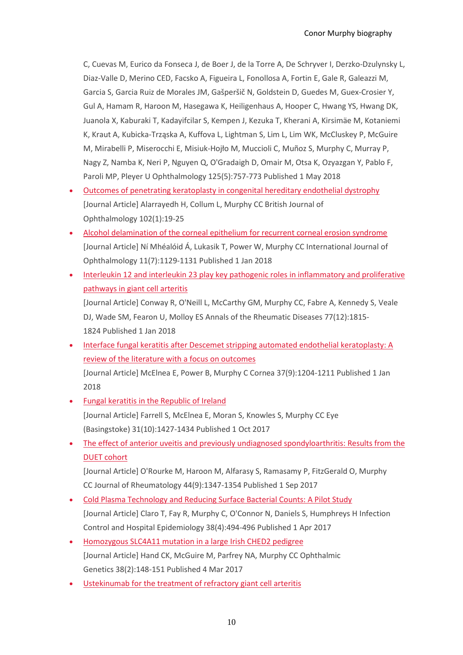C, Cuevas M, Eurico da Fonseca J, de Boer J, de la Torre A, De Schryver I, Derzko-Dzulynsky L, Diaz-Valle D, Merino CED, Facsko A, Figueira L, Fonollosa A, Fortin E, Gale R, Galeazzi M, Garcia S, Garcia Ruiz de Morales JM, Gašperšič N, Goldstein D, Guedes M, Guex-Crosier Y, Gul A, Hamam R, Haroon M, Hasegawa K, Heiligenhaus A, Hooper C, Hwang YS, Hwang DK, Juanola X, Kaburaki T, Kadayifcilar S, Kempen J, Kezuka T, Kherani A, Kirsimäe M, Kotaniemi K, Kraut A, Kubicka-Trząska A, Kuffova L, Lightman S, Lim L, Lim WK, McCluskey P, McGuire M, Mirabelli P, Miserocchi E, Misiuk-Hojło M, Muccioli C, Muñoz S, Murphy C, Murray P, Nagy Z, Namba K, Neri P, Nguyen Q, O'Gradaigh D, Omair M, Otsa K, Ozyazgan Y, Pablo F, Paroli MP, Pleyer U Ophthalmology 125(5):757-773 Published 1 May 2018

- [Outcomes of penetrating keratoplasty in congenital hereditary endothelial dystrophy](http://doi.org/10.1136/bjophthalmol-2016-309565) [Journal Article] Alarrayedh H, Collum L, Murphy CC British Journal of Ophthalmology 102(1):19-25
- [Alcohol delamination of the corneal epithelium for recurrent corneal erosion syndrome](http://doi.org/10.18240/ijo.2018.07.09) [Journal Article] Ní Mhéalóid Á, Lukasik T, Power W, Murphy CC International Journal of Ophthalmology 11(7):1129-1131 Published 1 Jan 2018
- Interleukin 12 and interleukin 23 play key pathogenic roles in inflammatory and proliferative [pathways in giant cell arteritis](http://doi.org/10.1136/annrheumdis-2018-213488)

[Journal Article] Conway R, O'Neill L, McCarthy GM, Murphy CC, Fabre A, Kennedy S, Veale DJ, Wade SM, Fearon U, Molloy ES Annals of the Rheumatic Diseases 77(12):1815- 1824 Published 1 Jan 2018

• [Interface fungal keratitis after Descemet stripping automated endothelial keratoplasty: A](http://doi.org/10.1097/ICO.0000000000001636)  [review of the literature with a focus on outcomes](http://doi.org/10.1097/ICO.0000000000001636) [Journal Article] McElnea E, Power B, Murphy C Cornea 37(9):1204-1211 Published 1 Jan

2018

- [Fungal keratitis in the Republic of Ireland](http://doi.org/10.1038/eye.2017.82) [Journal Article] Farrell S, McElnea E, Moran S, Knowles S, Murphy CC Eye (Basingstoke) 31(10):1427-1434 Published 1 Oct 2017
- The effect of anterior uveitis and previously undiagnosed spondyloarthritis: Results from the [DUET cohort](http://doi.org/10.3899/jrheum.170115)

[Journal Article] O'Rourke M, Haroon M, Alfarasy S, Ramasamy P, FitzGerald O, Murphy CC Journal of Rheumatology 44(9):1347-1354 Published 1 Sep 2017

- [Cold Plasma Technology and Reducing Surface Bacterial Counts: A Pilot Study](http://doi.org/10.1017/ice.2016.318) [Journal Article] Claro T, Fay R, Murphy C, O'Connor N, Daniels S, Humphreys H Infection Control and Hospital Epidemiology 38(4):494-496 Published 1 Apr 2017
- [Homozygous SLC4A11 mutation in a large Irish CHED2 pedigree](http://doi.org/10.3109/13816810.2016.1151901) [Journal Article] Hand CK, McGuire M, Parfrey NA, Murphy CC Ophthalmic Genetics 38(2):148-151 Published 4 Mar 2017
- [Ustekinumab for the treatment of refractory giant cell arteritis](http://doi.org/10.1136/annrheumdis-2016-209351)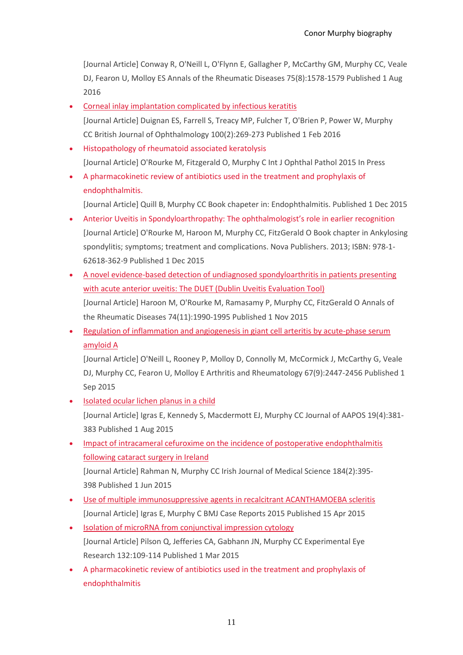[Journal Article] Conway R, O'Neill L, O'Flynn E, Gallagher P, McCarthy GM, Murphy CC, Veale DJ, Fearon U, Molloy ES Annals of the Rheumatic Diseases 75(8):1578-1579 Published 1 Aug 2016

- [Corneal inlay implantation complicated by infectious keratitis](http://doi.org/10.1136/bjophthalmol-2015-306641) [Journal Article] Duignan ES, Farrell S, Treacy MP, Fulcher T, O'Brien P, Power W, Murphy CC British Journal of Ophthalmology 100(2):269-273 Published 1 Feb 2016
- Histopathology of rheumatoid associated keratolysis [Journal Article] O'Rourke M, Fitzgerald O, Murphy C Int J Ophthal Pathol 2015 In Press
- A pharmacokinetic review of antibiotics used in the treatment and prophylaxis of endophthalmitis.

[Journal Article] Quill B, Murphy CC Book chapeter in: Endophthalmitis. Published 1 Dec 2015

- Anterior Uveitis in Spondyloarthropathy: The ophthalmologist's role in earlier recognition [Journal Article] O'Rourke M, Haroon M, Murphy CC, FitzGerald O Book chapter in Ankylosing spondylitis; symptoms; treatment and complications. Nova Publishers. 2013; ISBN: 978-1- 62618-362-9 Published 1 Dec 2015
- [A novel evidence-based detection of undiagnosed spondyloarthritis in patients presenting](http://doi.org/10.1136/annrheumdis-2014-205358)  [with acute anterior uveitis: The DUET \(Dublin Uveitis Evaluation Tool\)](http://doi.org/10.1136/annrheumdis-2014-205358) [Journal Article] Haroon M, O'Rourke M, Ramasamy P, Murphy CC, FitzGerald O Annals of the Rheumatic Diseases 74(11):1990-1995 Published 1 Nov 2015
- Regulation of inflammation and angiogenesis in giant cell arteritis by acute-phase serum [amyloid A](http://doi.org/10.1002/art.39217)

[Journal Article] O'Neill L, Rooney P, Molloy D, Connolly M, McCormick J, McCarthy G, Veale DJ, Murphy CC, Fearon U, Molloy E Arthritis and Rheumatology 67(9):2447-2456 Published 1 Sep 2015

- [Isolated ocular lichen planus in a child](http://doi.org/10.1016/j.jaapos.2015.03.019) [Journal Article] Igras E, Kennedy S, Macdermott EJ, Murphy CC Journal of AAPOS 19(4):381- 383 Published 1 Aug 2015
- [Impact of intracameral cefuroxime on the incidence of postoperative endophthalmitis](http://doi.org/10.1007/s11845-014-1127-y)  [following cataract surgery in Ireland](http://doi.org/10.1007/s11845-014-1127-y) [Journal Article] Rahman N, Murphy CC Irish Journal of Medical Science 184(2):395- 398 Published 1 Jun 2015
- [Use of multiple immunosuppressive agents in recalcitrant ACANTHAMOEBA scleritis](http://doi.org/10.1136/bcr-2014-208536) [Journal Article] Igras E, Murphy C BMJ Case Reports 2015 Published 15 Apr 2015
- [Isolation of microRNA from conjunctival impression cytology](http://doi.org/10.1016/j.exer.2015.01.009) [Journal Article] Pilson Q, Jefferies CA, Gabhann JN, Murphy CC Experimental Eye Research 132:109-114 Published 1 Mar 2015
- A pharmacokinetic review of antibiotics used in the treatment and prophylaxis of endophthalmitis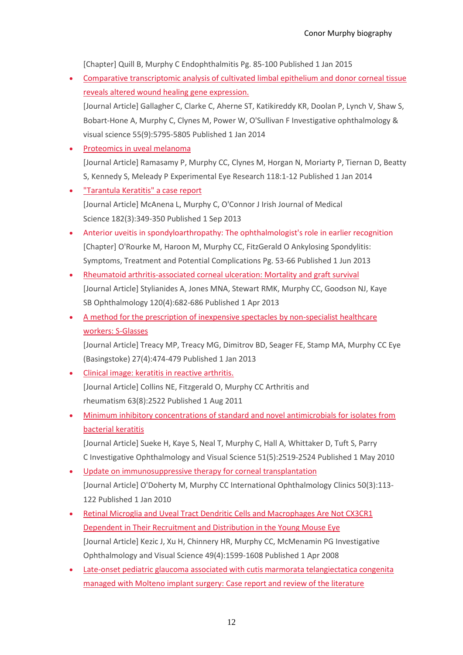[Chapter] Quill B, Murphy C Endophthalmitis Pg. 85-100 Published 1 Jan 2015

- [Comparative transcriptomic analysis of cultivated limbal epithelium and donor corneal tissue](http://doi.org/10.1167/iovs.14-14664)  [reveals altered wound healing gene expression.](http://doi.org/10.1167/iovs.14-14664) [Journal Article] Gallagher C, Clarke C, Aherne ST, Katikireddy KR, Doolan P, Lynch V, Shaw S, Bobart-Hone A, Murphy C, Clynes M, Power W, O'Sullivan F Investigative ophthalmology &
- visual science 55(9):5795-5805 Published 1 Jan 2014
- [Proteomics in uveal melanoma](http://doi.org/10.1016/j.exer.2013.09.005) [Journal Article] Ramasamy P, Murphy CC, Clynes M, Horgan N, Moriarty P, Tiernan D, Beatty S, Kennedy S, Meleady P Experimental Eye Research 118:1-12 Published 1 Jan 2014
- ["Tarantula Keratitis" a case report](http://doi.org/10.1007/s11845-012-0885-7) [Journal Article] McAnena L, Murphy C, O'Connor J Irish Journal of Medical Science 182(3):349-350 Published 1 Sep 2013
- Anterior uveitis in spondyloarthropathy: The ophthalmologist's role in earlier recognition [Chapter] O'Rourke M, Haroon M, Murphy CC, FitzGerald O Ankylosing Spondylitis: Symptoms, Treatment and Potential Complications Pg. 53-66 Published 1 Jun 2013
- [Rheumatoid arthritis-associated corneal ulceration: Mortality and graft survival](http://doi.org/10.1016/j.ophtha.2012.09.050) [Journal Article] Stylianides A, Jones MNA, Stewart RMK, Murphy CC, Goodson NJ, Kaye SB Ophthalmology 120(4):682-686 Published 1 Apr 2013
- [A method for the prescription of inexpensive spectacles by non-specialist healthcare](http://doi.org/10.1038/eye.2012.286)  [workers: S-Glasses](http://doi.org/10.1038/eye.2012.286)

[Journal Article] Treacy MP, Treacy MG, Dimitrov BD, Seager FE, Stamp MA, Murphy CC Eye (Basingstoke) 27(4):474-479 Published 1 Jan 2013

- [Clinical image: keratitis in reactive arthritis.](http://doi.org/10.1002/art.30397) [Journal Article] Collins NE, Fitzgerald O, Murphy CC Arthritis and rheumatism 63(8):2522 Published 1 Aug 2011
- [Minimum inhibitory concentrations of standard and novel antimicrobials for isolates from](http://doi.org/10.1167/iovs.09-4638)  [bacterial keratitis](http://doi.org/10.1167/iovs.09-4638)

[Journal Article] Sueke H, Kaye S, Neal T, Murphy C, Hall A, Whittaker D, Tuft S, Parry C Investigative Ophthalmology and Visual Science 51(5):2519-2524 Published 1 May 2010

- [Update on immunosuppressive therapy for corneal transplantation](http://doi.org/10.1097/IIO.0b013e3181e219a8) [Journal Article] O'Doherty M, Murphy CC International Ophthalmology Clinics 50(3):113- 122 Published 1 Jan 2010
- [Retinal Microglia and Uveal Tract Dendritic Cells](http://doi.org/10.1167/iovs.07-0953) and Macrophages Are Not CX3CR1 [Dependent in Their Recruitment and Distribution in the Young Mouse Eye](http://doi.org/10.1167/iovs.07-0953) [Journal Article] Kezic J, Xu H, Chinnery HR, Murphy CC, McMenamin PG Investigative Ophthalmology and Visual Science 49(4):1599-1608 Published 1 Apr 2008
- [Late-onset pediatric glaucoma associated with cutis marmorata telangiectatica congenita](http://doi.org/10.1016/j.jaapos.2007.03.015)  [managed with Molteno implant surgery: Case report and review of the literature](http://doi.org/10.1016/j.jaapos.2007.03.015)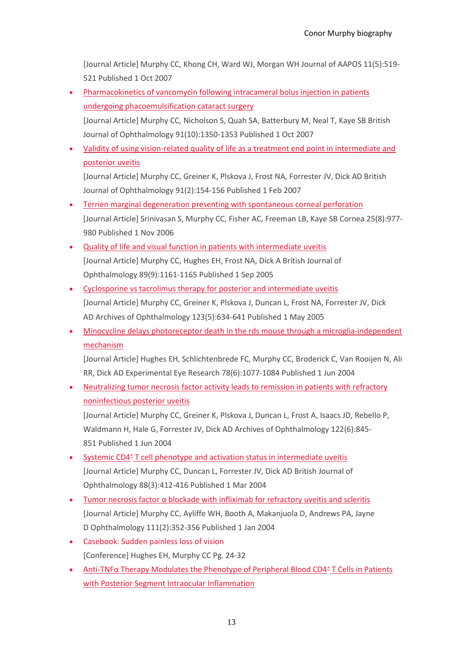[Journal Article] Murphy CC, Khong CH, Ward WJ, Morgan WH Journal of AAPOS 11(5):519- 521 Published 1 Oct 2007

- Pharmacokinetics of vancomycin following intracameral bolus injection in patients [undergoing phacoemulsification cataract surgery](http://doi.org/10.1136/bjo.2006.112060) [Journal Article] Murphy CC, Nicholson S, Quah SA, Batterbury M, Neal T, Kaye SB British Journal of Ophthalmology 91(10):1350-1353 Published 1 Oct 2007
- [Validity of using vision-related quality of life as a treatment end point in intermediate and](http://doi.org/10.1136/bjo.2006.105528)  [posterior uveitis](http://doi.org/10.1136/bjo.2006.105528)

[Journal Article] Murphy CC, Greiner K, Plskova J, Frost NA, Forrester JV, Dick AD British Journal of Ophthalmology 91(2):154-156 Published 1 Feb 2007

- [Terrien marginal degeneration presenting with spontaneous corneal perforation](http://doi.org/10.1097/01.ico.0000226367.41925.ab) [Journal Article] Srinivasan S, Murphy CC, Fisher AC, Freeman LB, Kaye SB Cornea 25(8):977- 980 Published 1 Nov 2006
- [Quality of life and visual function in patients with intermediate uveitis](http://doi.org/10.1136/bjo.2005.067421) [Journal Article] Murphy CC, Hughes EH, Frost NA, Dick A British Journal of Ophthalmology 89(9):1161-1165 Published 1 Sep 2005
- [Cyclosporine vs tacrolimus therapy for posterior and intermediate uveitis](http://doi.org/10.1001/archopht.123.5.634) [Journal Article] Murphy CC, Greiner K, Plskova J, Duncan L, Frost NA, Forrester JV, Dick AD Archives of Ophthalmology 123(5):634-641 Published 1 May 2005
- [Minocycline delays photoreceptor death in the rds](http://doi.org/10.1016/j.exer.2004.02.002) mouse through a microglia-independent [mechanism](http://doi.org/10.1016/j.exer.2004.02.002)

[Journal Article] Hughes EH, Schlichtenbrede FC, Murphy CC, Broderick C, Van Rooijen N, Ali RR, Dick AD Experimental Eye Research 78(6):1077-1084 Published 1 Jun 2004

• Neutralizing tumor necrosis factor activity leads to remission in patients with refractory [noninfectious posterior uveitis](http://doi.org/10.1001/archopht.122.6.845)

[Journal Article] Murphy CC, Greiner K, Plskova J, Duncan L, Frost A, Isaacs JD, Rebello P, Waldmann H, Hale G, Forrester JV, Dick AD Archives of Ophthalmology 122(6):845- 851 Published 1 Jun 2004

- Systemic CD4<sup>±</sup> [T cell phenotype and activation status in intermediate uveitis](http://doi.org/10.1136/bjo.2003.028506) [Journal Article] Murphy CC, Duncan L, Forrester JV, Dick AD British Journal of Ophthalmology 88(3):412-416 Published 1 Mar 2004
- [Tumor necrosis factor α blockade with infliximab for refractory](http://doi.org/10.1016/S0161-6420(03)00721-8) uveitis and scleritis [Journal Article] Murphy CC, Ayliffe WH, Booth A, Makanjuola D, Andrews PA, Jayne D Ophthalmology 111(2):352-356 Published 1 Jan 2004
- Casebook: Sudden painless loss of vision [Conference] Hughes EH, Murphy CC Pg. 24-32
- Anti-[TNFα Therapy Modulates the Phenotype of Peripheral Blood CD4](http://doi.org/10.1167/iovs.03-0659)<sup>±</sup> T Cells in Patients [with Posterior Segment Intraocular Inflammation](http://doi.org/10.1167/iovs.03-0659)